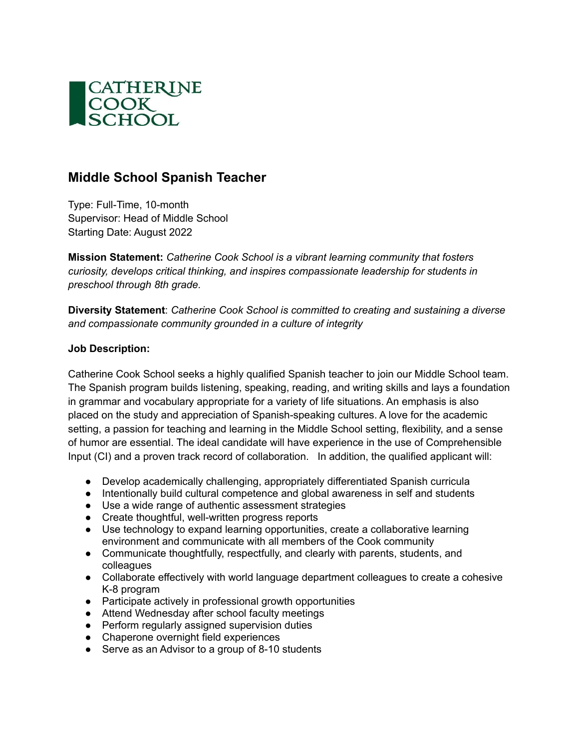

## **Middle School Spanish Teacher**

Type: Full-Time, 10-month Supervisor: Head of Middle School Starting Date: August 2022

**Mission Statement:** *Catherine Cook School is a vibrant learning community that fosters curiosity, develops critical thinking, and inspires compassionate leadership for students in preschool through 8th grade.*

**Diversity Statement**: *Catherine Cook School is committed to creating and sustaining a diverse and compassionate community grounded in a culture of integrity*

## **Job Description:**

Catherine Cook School seeks a highly qualified Spanish teacher to join our Middle School team. The Spanish program builds listening, speaking, reading, and writing skills and lays a foundation in grammar and vocabulary appropriate for a variety of life situations. An emphasis is also placed on the study and appreciation of Spanish-speaking cultures. A love for the academic setting, a passion for teaching and learning in the Middle School setting, flexibility, and a sense of humor are essential. The ideal candidate will have experience in the use of Comprehensible Input (CI) and a proven track record of collaboration. In addition, the qualified applicant will:

- Develop academically challenging, appropriately differentiated Spanish curricula
- Intentionally build cultural competence and global awareness in self and students
- Use a wide range of authentic assessment strategies
- Create thoughtful, well-written progress reports
- Use technology to expand learning opportunities, create a collaborative learning environment and communicate with all members of the Cook community
- Communicate thoughtfully, respectfully, and clearly with parents, students, and colleagues
- Collaborate effectively with world language department colleagues to create a cohesive K-8 program
- Participate actively in professional growth opportunities
- Attend Wednesday after school faculty meetings
- Perform regularly assigned supervision duties
- Chaperone overnight field experiences
- Serve as an Advisor to a group of 8-10 students